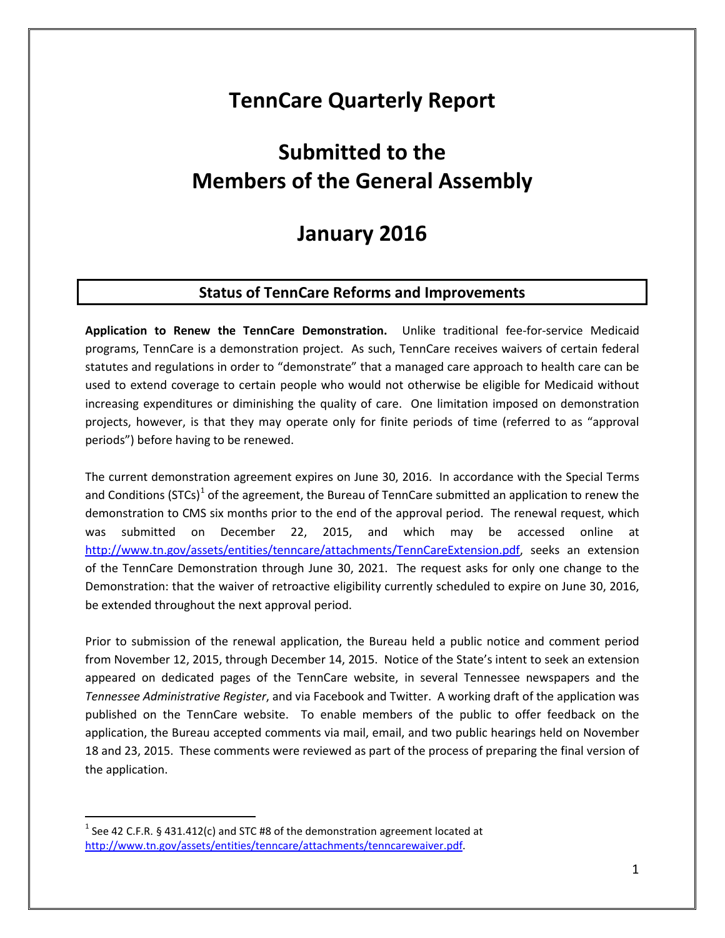# **TennCare Quarterly Report**

# **Submitted to the Members of the General Assembly**

## **January 2016**

#### **Status of TennCare Reforms and Improvements**

**Application to Renew the TennCare Demonstration.** Unlike traditional fee-for-service Medicaid programs, TennCare is a demonstration project. As such, TennCare receives waivers of certain federal statutes and regulations in order to "demonstrate" that a managed care approach to health care can be used to extend coverage to certain people who would not otherwise be eligible for Medicaid without increasing expenditures or diminishing the quality of care. One limitation imposed on demonstration projects, however, is that they may operate only for finite periods of time (referred to as "approval periods") before having to be renewed.

The current demonstration agreement expires on June 30, 2016. In accordance with the Special Terms and Conditions (STCs)<sup>[1](#page-0-0)</sup> of the agreement, the Bureau of TennCare submitted an application to renew the demonstration to CMS six months prior to the end of the approval period. The renewal request, which was submitted on December 22, 2015, and which may be accessed online at [http://www.tn.gov/assets/entities/tenncare/attachments/TennCareExtension.pdf,](http://www.tn.gov/assets/entities/tenncare/attachments/TennCareExtension.pdf) seeks an extension of the TennCare Demonstration through June 30, 2021. The request asks for only one change to the Demonstration: that the waiver of retroactive eligibility currently scheduled to expire on June 30, 2016, be extended throughout the next approval period.

Prior to submission of the renewal application, the Bureau held a public notice and comment period from November 12, 2015, through December 14, 2015. Notice of the State's intent to seek an extension appeared on dedicated pages of the TennCare website, in several Tennessee newspapers and the *Tennessee Administrative Register*, and via Facebook and Twitter. A working draft of the application was published on the TennCare website. To enable members of the public to offer feedback on the application, the Bureau accepted comments via mail, email, and two public hearings held on November 18 and 23, 2015. These comments were reviewed as part of the process of preparing the final version of the application.

<span id="page-0-0"></span><sup>&</sup>lt;sup>1</sup> See 42 C.F.R. § 431.412(c) and STC #8 of the demonstration agreement located at [http://www.tn.gov/assets/entities/tenncare/attachments/tenncarewaiver.pdf.](http://www.tn.gov/assets/entities/tenncare/attachments/tenncarewaiver.pdf)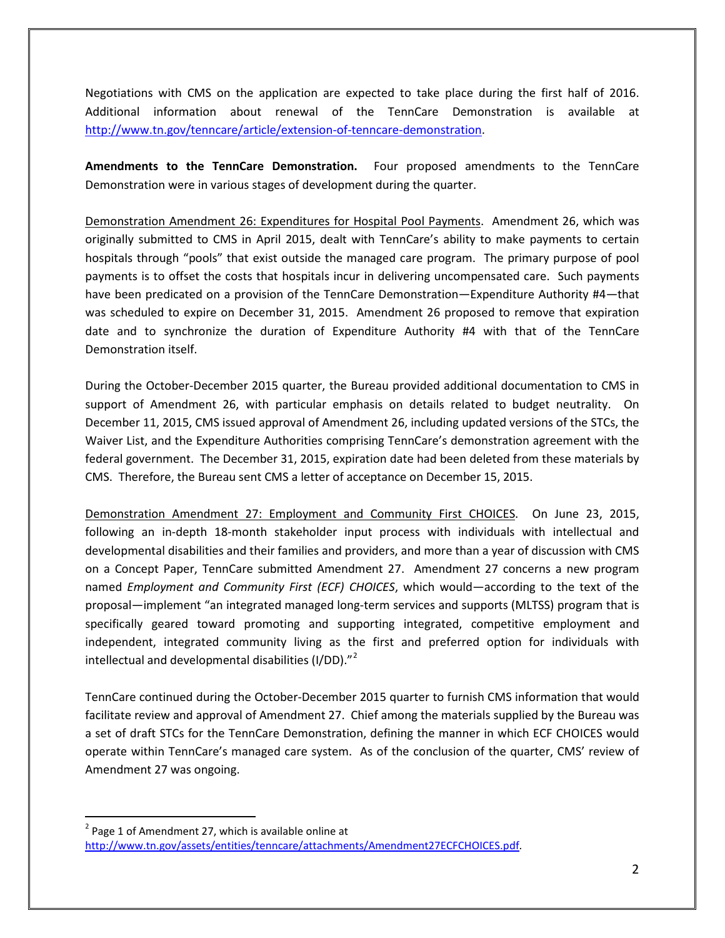Negotiations with CMS on the application are expected to take place during the first half of 2016. Additional information about renewal of the TennCare Demonstration is available at [http://www.tn.gov/tenncare/article/extension-of-tenncare-demonstration.](http://www.tn.gov/tenncare/article/extension-of-tenncare-demonstration)

**Amendments to the TennCare Demonstration.** Four proposed amendments to the TennCare Demonstration were in various stages of development during the quarter.

Demonstration Amendment 26: Expenditures for Hospital Pool Payments. Amendment 26, which was originally submitted to CMS in April 2015, dealt with TennCare's ability to make payments to certain hospitals through "pools" that exist outside the managed care program. The primary purpose of pool payments is to offset the costs that hospitals incur in delivering uncompensated care. Such payments have been predicated on a provision of the TennCare Demonstration—Expenditure Authority #4—that was scheduled to expire on December 31, 2015. Amendment 26 proposed to remove that expiration date and to synchronize the duration of Expenditure Authority #4 with that of the TennCare Demonstration itself.

During the October-December 2015 quarter, the Bureau provided additional documentation to CMS in support of Amendment 26, with particular emphasis on details related to budget neutrality. On December 11, 2015, CMS issued approval of Amendment 26, including updated versions of the STCs, the Waiver List, and the Expenditure Authorities comprising TennCare's demonstration agreement with the federal government. The December 31, 2015, expiration date had been deleted from these materials by CMS. Therefore, the Bureau sent CMS a letter of acceptance on December 15, 2015.

Demonstration Amendment 27: Employment and Community First CHOICES. On June 23, 2015, following an in-depth 18-month stakeholder input process with individuals with intellectual and developmental disabilities and their families and providers, and more than a year of discussion with CMS on a Concept Paper, TennCare submitted Amendment 27. Amendment 27 concerns a new program named *Employment and Community First (ECF) CHOICES*, which would—according to the text of the proposal—implement "an integrated managed long-term services and supports (MLTSS) program that is specifically geared toward promoting and supporting integrated, competitive employment and independent, integrated community living as the first and preferred option for individuals with intellectual and developmental disabilities (I/DD)."[2](#page-1-0)

TennCare continued during the October-December 2015 quarter to furnish CMS information that would facilitate review and approval of Amendment 27. Chief among the materials supplied by the Bureau was a set of draft STCs for the TennCare Demonstration, defining the manner in which ECF CHOICES would operate within TennCare's managed care system. As of the conclusion of the quarter, CMS' review of Amendment 27 was ongoing.

<span id="page-1-0"></span> $2$  Page 1 of Amendment 27, which is available online at [http://www.tn.gov/assets/entities/tenncare/attachments/Amendment27ECFCHOICES.pdf.](http://www.tn.gov/assets/entities/tenncare/attachments/Amendment27ECFCHOICES.pdf)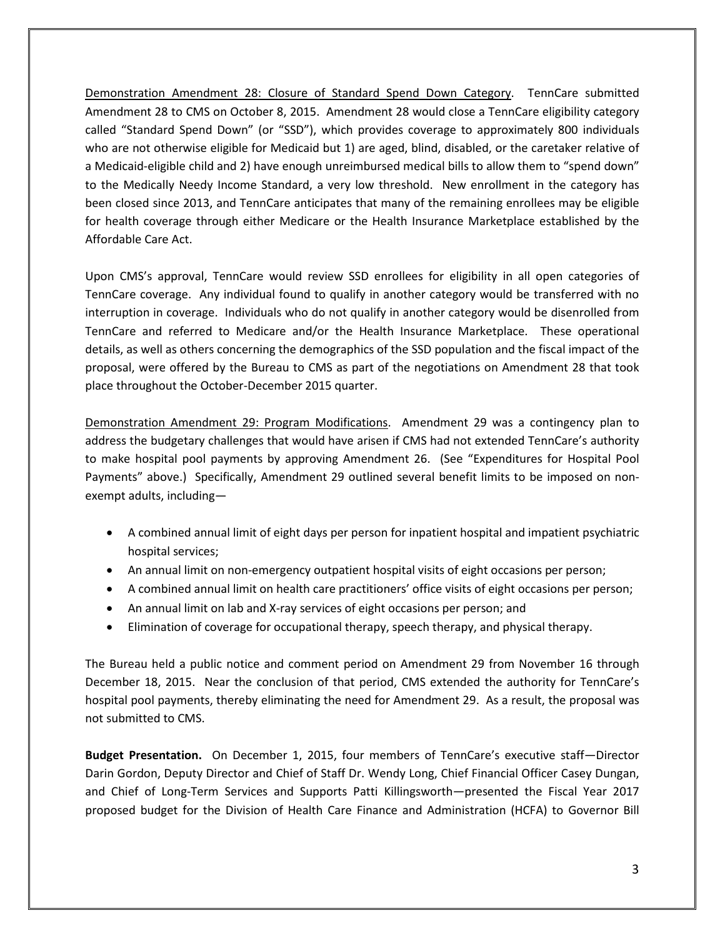Demonstration Amendment 28: Closure of Standard Spend Down Category. TennCare submitted Amendment 28 to CMS on October 8, 2015. Amendment 28 would close a TennCare eligibility category called "Standard Spend Down" (or "SSD"), which provides coverage to approximately 800 individuals who are not otherwise eligible for Medicaid but 1) are aged, blind, disabled, or the caretaker relative of a Medicaid-eligible child and 2) have enough unreimbursed medical bills to allow them to "spend down" to the Medically Needy Income Standard, a very low threshold. New enrollment in the category has been closed since 2013, and TennCare anticipates that many of the remaining enrollees may be eligible for health coverage through either Medicare or the Health Insurance Marketplace established by the Affordable Care Act.

Upon CMS's approval, TennCare would review SSD enrollees for eligibility in all open categories of TennCare coverage. Any individual found to qualify in another category would be transferred with no interruption in coverage. Individuals who do not qualify in another category would be disenrolled from TennCare and referred to Medicare and/or the Health Insurance Marketplace. These operational details, as well as others concerning the demographics of the SSD population and the fiscal impact of the proposal, were offered by the Bureau to CMS as part of the negotiations on Amendment 28 that took place throughout the October-December 2015 quarter.

Demonstration Amendment 29: Program Modifications. Amendment 29 was a contingency plan to address the budgetary challenges that would have arisen if CMS had not extended TennCare's authority to make hospital pool payments by approving Amendment 26. (See "Expenditures for Hospital Pool Payments" above.) Specifically, Amendment 29 outlined several benefit limits to be imposed on nonexempt adults, including—

- A combined annual limit of eight days per person for inpatient hospital and impatient psychiatric hospital services;
- An annual limit on non-emergency outpatient hospital visits of eight occasions per person;
- A combined annual limit on health care practitioners' office visits of eight occasions per person;
- An annual limit on lab and X-ray services of eight occasions per person; and
- Elimination of coverage for occupational therapy, speech therapy, and physical therapy.

The Bureau held a public notice and comment period on Amendment 29 from November 16 through December 18, 2015. Near the conclusion of that period, CMS extended the authority for TennCare's hospital pool payments, thereby eliminating the need for Amendment 29. As a result, the proposal was not submitted to CMS.

**Budget Presentation.** On December 1, 2015, four members of TennCare's executive staff—Director Darin Gordon, Deputy Director and Chief of Staff Dr. Wendy Long, Chief Financial Officer Casey Dungan, and Chief of Long-Term Services and Supports Patti Killingsworth—presented the Fiscal Year 2017 proposed budget for the Division of Health Care Finance and Administration (HCFA) to Governor Bill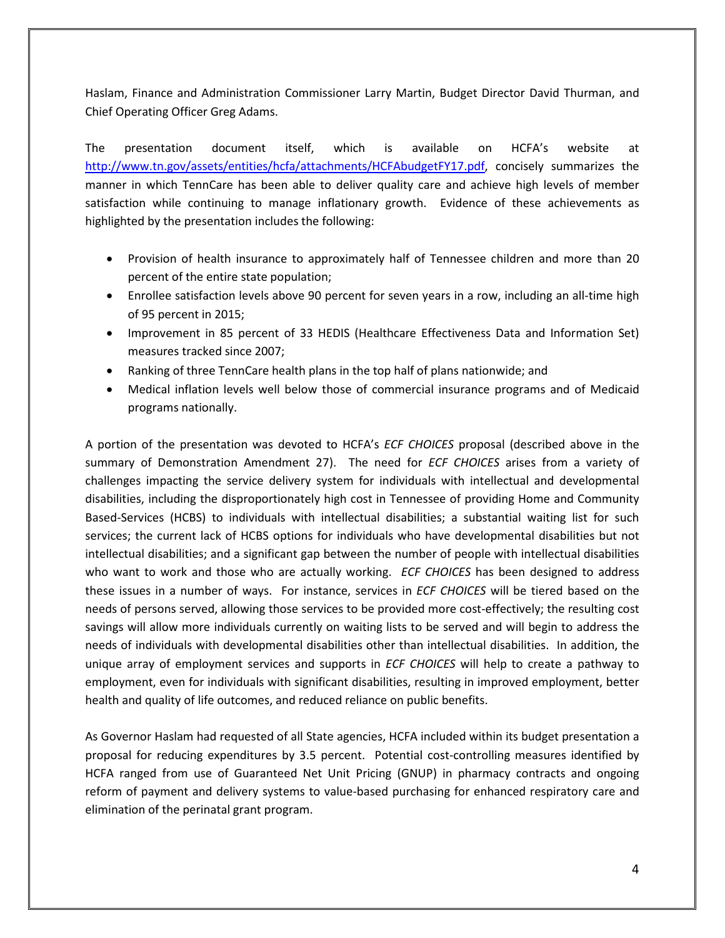Haslam, Finance and Administration Commissioner Larry Martin, Budget Director David Thurman, and Chief Operating Officer Greg Adams.

The presentation document itself, which is available on HCFA's website at [http://www.tn.gov/assets/entities/hcfa/attachments/HCFAbudgetFY17.pdf,](http://www.tn.gov/assets/entities/hcfa/attachments/HCFAbudgetFY17.pdf) concisely summarizes the manner in which TennCare has been able to deliver quality care and achieve high levels of member satisfaction while continuing to manage inflationary growth. Evidence of these achievements as highlighted by the presentation includes the following:

- Provision of health insurance to approximately half of Tennessee children and more than 20 percent of the entire state population;
- Enrollee satisfaction levels above 90 percent for seven years in a row, including an all-time high of 95 percent in 2015;
- Improvement in 85 percent of 33 HEDIS (Healthcare Effectiveness Data and Information Set) measures tracked since 2007;
- Ranking of three TennCare health plans in the top half of plans nationwide; and
- Medical inflation levels well below those of commercial insurance programs and of Medicaid programs nationally.

A portion of the presentation was devoted to HCFA's *ECF CHOICES* proposal (described above in the summary of Demonstration Amendment 27). The need for *ECF CHOICES* arises from a variety of challenges impacting the service delivery system for individuals with intellectual and developmental disabilities, including the disproportionately high cost in Tennessee of providing Home and Community Based-Services (HCBS) to individuals with intellectual disabilities; a substantial waiting list for such services; the current lack of HCBS options for individuals who have developmental disabilities but not intellectual disabilities; and a significant gap between the number of people with intellectual disabilities who want to work and those who are actually working. *ECF CHOICES* has been designed to address these issues in a number of ways. For instance, services in *ECF CHOICES* will be tiered based on the needs of persons served, allowing those services to be provided more cost-effectively; the resulting cost savings will allow more individuals currently on waiting lists to be served and will begin to address the needs of individuals with developmental disabilities other than intellectual disabilities. In addition, the unique array of employment services and supports in *ECF CHOICES* will help to create a pathway to employment, even for individuals with significant disabilities, resulting in improved employment, better health and quality of life outcomes, and reduced reliance on public benefits.

As Governor Haslam had requested of all State agencies, HCFA included within its budget presentation a proposal for reducing expenditures by 3.5 percent. Potential cost-controlling measures identified by HCFA ranged from use of Guaranteed Net Unit Pricing (GNUP) in pharmacy contracts and ongoing reform of payment and delivery systems to value-based purchasing for enhanced respiratory care and elimination of the perinatal grant program.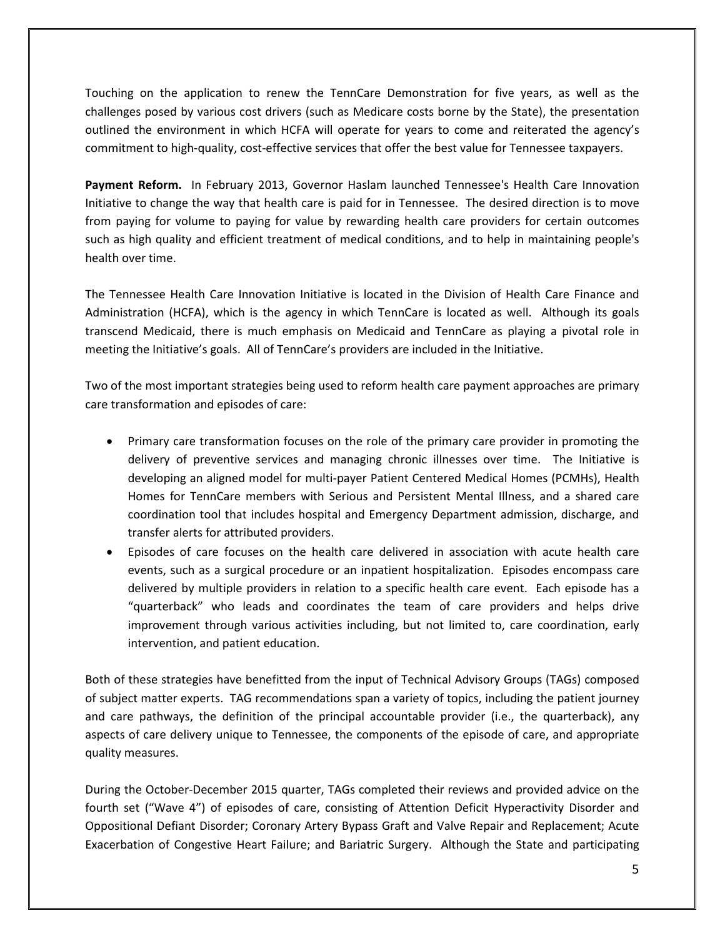Touching on the application to renew the TennCare Demonstration for five years, as well as the challenges posed by various cost drivers (such as Medicare costs borne by the State), the presentation outlined the environment in which HCFA will operate for years to come and reiterated the agency's commitment to high-quality, cost-effective services that offer the best value for Tennessee taxpayers.

**Payment Reform.** In February 2013, Governor Haslam launched Tennessee's Health Care Innovation Initiative to change the way that health care is paid for in Tennessee. The desired direction is to move from paying for volume to paying for value by rewarding health care providers for certain outcomes such as high quality and efficient treatment of medical conditions, and to help in maintaining people's health over time.

The Tennessee Health Care Innovation Initiative is located in the Division of Health Care Finance and Administration (HCFA), which is the agency in which TennCare is located as well. Although its goals transcend Medicaid, there is much emphasis on Medicaid and TennCare as playing a pivotal role in meeting the Initiative's goals. All of TennCare's providers are included in the Initiative.

Two of the most important strategies being used to reform health care payment approaches are primary care transformation and episodes of care:

- Primary care transformation focuses on the role of the primary care provider in promoting the delivery of preventive services and managing chronic illnesses over time. The Initiative is developing an aligned model for multi-payer Patient Centered Medical Homes (PCMHs), Health Homes for TennCare members with Serious and Persistent Mental Illness, and a shared care coordination tool that includes hospital and Emergency Department admission, discharge, and transfer alerts for attributed providers.
- Episodes of care focuses on the health care delivered in association with acute health care events, such as a surgical procedure or an inpatient hospitalization. Episodes encompass care delivered by multiple providers in relation to a specific health care event. Each episode has a "quarterback" who leads and coordinates the team of care providers and helps drive improvement through various activities including, but not limited to, care coordination, early intervention, and patient education.

Both of these strategies have benefitted from the input of Technical Advisory Groups (TAGs) composed of subject matter experts. TAG recommendations span a variety of topics, including the patient journey and care pathways, the definition of the principal accountable provider (i.e., the quarterback), any aspects of care delivery unique to Tennessee, the components of the episode of care, and appropriate quality measures.

During the October-December 2015 quarter, TAGs completed their reviews and provided advice on the fourth set ("Wave 4") of episodes of care, consisting of Attention Deficit Hyperactivity Disorder and Oppositional Defiant Disorder; Coronary Artery Bypass Graft and Valve Repair and Replacement; Acute Exacerbation of Congestive Heart Failure; and Bariatric Surgery. Although the State and participating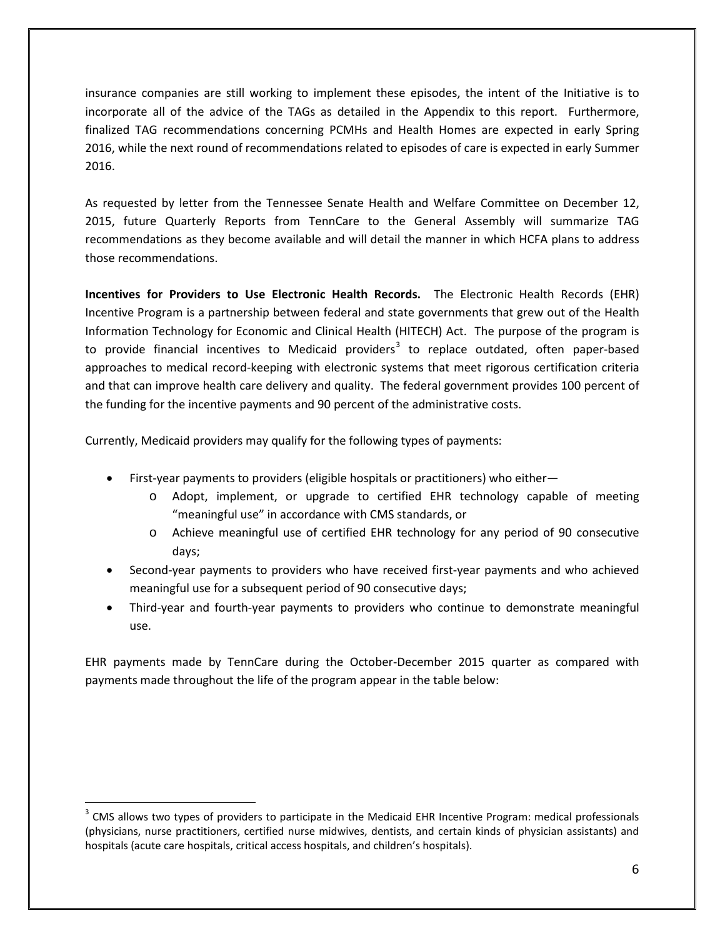insurance companies are still working to implement these episodes, the intent of the Initiative is to incorporate all of the advice of the TAGs as detailed in the Appendix to this report. Furthermore, finalized TAG recommendations concerning PCMHs and Health Homes are expected in early Spring 2016, while the next round of recommendations related to episodes of care is expected in early Summer 2016.

As requested by letter from the Tennessee Senate Health and Welfare Committee on December 12, 2015, future Quarterly Reports from TennCare to the General Assembly will summarize TAG recommendations as they become available and will detail the manner in which HCFA plans to address those recommendations.

**Incentives for Providers to Use Electronic Health Records.** The Electronic Health Records (EHR) Incentive Program is a partnership between federal and state governments that grew out of the Health Information Technology for Economic and Clinical Health (HITECH) Act. The purpose of the program is to provide financial incentives to Medicaid providers<sup>[3](#page-5-0)</sup> to replace outdated, often paper-based approaches to medical record-keeping with electronic systems that meet rigorous certification criteria and that can improve health care delivery and quality. The federal government provides 100 percent of the funding for the incentive payments and 90 percent of the administrative costs.

Currently, Medicaid providers may qualify for the following types of payments:

 $\overline{a}$ 

- First-year payments to providers (eligible hospitals or practitioners) who either
	- o Adopt, implement, or upgrade to certified EHR technology capable of meeting "meaningful use" in accordance with CMS standards, or
	- o Achieve meaningful use of certified EHR technology for any period of 90 consecutive days;
- Second-year payments to providers who have received first-year payments and who achieved meaningful use for a subsequent period of 90 consecutive days;
- Third-year and fourth-year payments to providers who continue to demonstrate meaningful use.

EHR payments made by TennCare during the October-December 2015 quarter as compared with payments made throughout the life of the program appear in the table below:

<span id="page-5-0"></span><sup>&</sup>lt;sup>3</sup> CMS allows two types of providers to participate in the Medicaid EHR Incentive Program: medical professionals (physicians, nurse practitioners, certified nurse midwives, dentists, and certain kinds of physician assistants) and hospitals (acute care hospitals, critical access hospitals, and children's hospitals).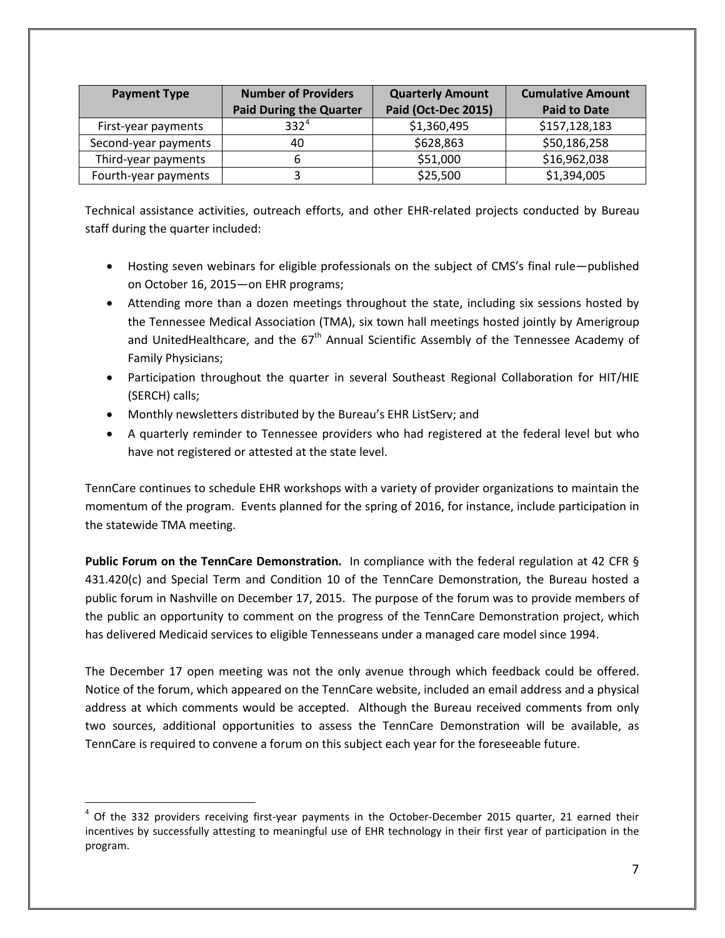| <b>Payment Type</b>  | <b>Number of Providers</b><br><b>Paid During the Quarter</b> | <b>Quarterly Amount</b><br>Paid (Oct-Dec 2015) | <b>Cumulative Amount</b><br><b>Paid to Date</b> |
|----------------------|--------------------------------------------------------------|------------------------------------------------|-------------------------------------------------|
| First-year payments  | 332 <sup>4</sup>                                             | \$1,360,495                                    | \$157,128,183                                   |
| Second-year payments | 40                                                           | \$628,863                                      | \$50,186,258                                    |
| Third-year payments  |                                                              | \$51,000                                       | \$16,962,038                                    |
| Fourth-year payments |                                                              | \$25,500                                       | \$1,394,005                                     |

Technical assistance activities, outreach efforts, and other EHR-related projects conducted by Bureau staff during the quarter included:

- Hosting seven webinars for eligible professionals on the subject of CMS's final rule—published on October 16, 2015—on EHR programs;
- Attending more than a dozen meetings throughout the state, including six sessions hosted by the Tennessee Medical Association (TMA), six town hall meetings hosted jointly by Amerigroup and UnitedHealthcare, and the 67<sup>th</sup> Annual Scientific Assembly of the Tennessee Academy of Family Physicians;
- Participation throughout the quarter in several Southeast Regional Collaboration for HIT/HIE (SERCH) calls;
- Monthly newsletters distributed by the Bureau's EHR ListServ; and
- A quarterly reminder to Tennessee providers who had registered at the federal level but who have not registered or attested at the state level.

TennCare continues to schedule EHR workshops with a variety of provider organizations to maintain the momentum of the program. Events planned for the spring of 2016, for instance, include participation in the statewide TMA meeting.

**Public Forum on the TennCare Demonstration.** In compliance with the federal regulation at 42 CFR § 431.420(c) and Special Term and Condition 10 of the TennCare Demonstration, the Bureau hosted a public forum in Nashville on December 17, 2015. The purpose of the forum was to provide members of the public an opportunity to comment on the progress of the TennCare Demonstration project, which has delivered Medicaid services to eligible Tennesseans under a managed care model since 1994.

The December 17 open meeting was not the only avenue through which feedback could be offered. Notice of the forum, which appeared on the TennCare website, included an email address and a physical address at which comments would be accepted. Although the Bureau received comments from only two sources, additional opportunities to assess the TennCare Demonstration will be available, as TennCare is required to convene a forum on this subject each year for the foreseeable future.

<span id="page-6-0"></span> $4$  Of the 332 providers receiving first-year payments in the October-December 2015 quarter, 21 earned their incentives by successfully attesting to meaningful use of EHR technology in their first year of participation in the program.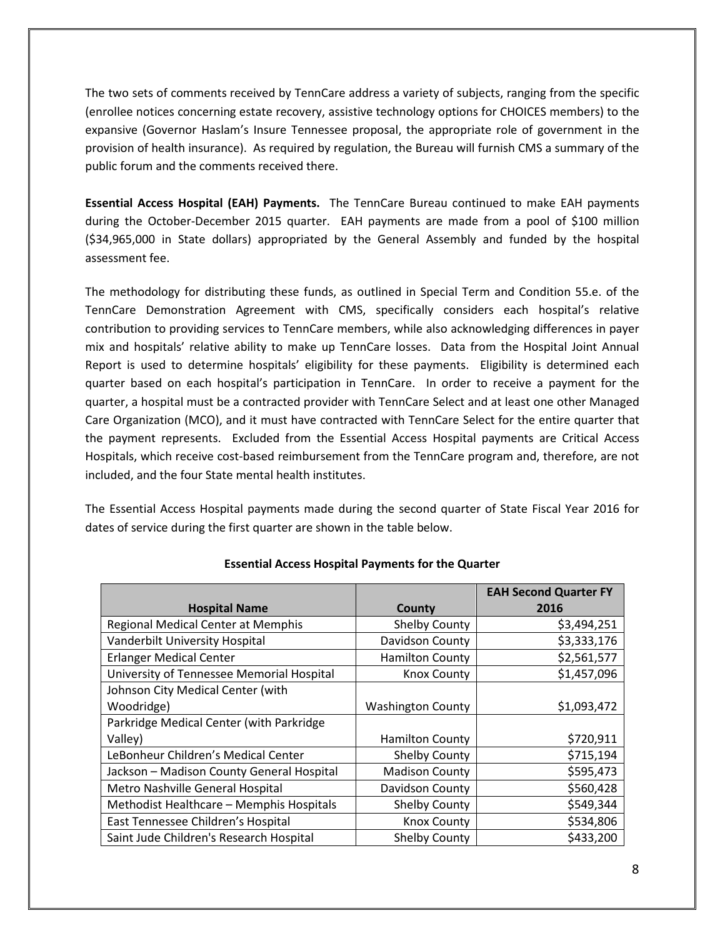The two sets of comments received by TennCare address a variety of subjects, ranging from the specific (enrollee notices concerning estate recovery, assistive technology options for CHOICES members) to the expansive (Governor Haslam's Insure Tennessee proposal, the appropriate role of government in the provision of health insurance). As required by regulation, the Bureau will furnish CMS a summary of the public forum and the comments received there.

**Essential Access Hospital (EAH) Payments.** The TennCare Bureau continued to make EAH payments during the October-December 2015 quarter. EAH payments are made from a pool of \$100 million (\$34,965,000 in State dollars) appropriated by the General Assembly and funded by the hospital assessment fee.

The methodology for distributing these funds, as outlined in Special Term and Condition 55.e. of the TennCare Demonstration Agreement with CMS, specifically considers each hospital's relative contribution to providing services to TennCare members, while also acknowledging differences in payer mix and hospitals' relative ability to make up TennCare losses. Data from the Hospital Joint Annual Report is used to determine hospitals' eligibility for these payments. Eligibility is determined each quarter based on each hospital's participation in TennCare. In order to receive a payment for the quarter, a hospital must be a contracted provider with TennCare Select and at least one other Managed Care Organization (MCO), and it must have contracted with TennCare Select for the entire quarter that the payment represents. Excluded from the Essential Access Hospital payments are Critical Access Hospitals, which receive cost-based reimbursement from the TennCare program and, therefore, are not included, and the four State mental health institutes.

The Essential Access Hospital payments made during the second quarter of State Fiscal Year 2016 for dates of service during the first quarter are shown in the table below.

|                                           |                          | <b>EAH Second Quarter FY</b> |
|-------------------------------------------|--------------------------|------------------------------|
| <b>Hospital Name</b>                      | County                   | 2016                         |
| <b>Regional Medical Center at Memphis</b> | <b>Shelby County</b>     | \$3,494,251                  |
| Vanderbilt University Hospital            | Davidson County          | \$3,333,176                  |
| <b>Erlanger Medical Center</b>            | <b>Hamilton County</b>   | \$2,561,577                  |
| University of Tennessee Memorial Hospital | <b>Knox County</b>       | \$1,457,096                  |
| Johnson City Medical Center (with         |                          |                              |
| Woodridge)                                | <b>Washington County</b> | \$1,093,472                  |
| Parkridge Medical Center (with Parkridge  |                          |                              |
| Valley)                                   | <b>Hamilton County</b>   | \$720,911                    |
| LeBonheur Children's Medical Center       | Shelby County            | \$715,194                    |
| Jackson - Madison County General Hospital | <b>Madison County</b>    | \$595,473                    |
| Metro Nashville General Hospital          | Davidson County          | \$560,428                    |
| Methodist Healthcare - Memphis Hospitals  | Shelby County            | \$549,344                    |
| East Tennessee Children's Hospital        | <b>Knox County</b>       | \$534,806                    |
| Saint Jude Children's Research Hospital   | <b>Shelby County</b>     | \$433,200                    |

#### **Essential Access Hospital Payments for the Quarter**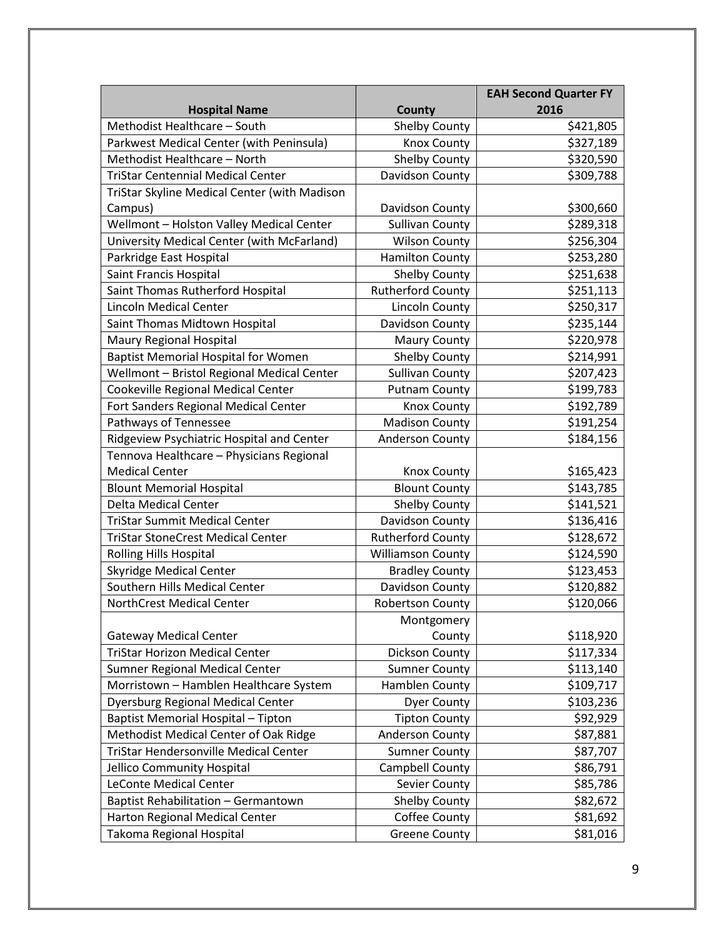|                                              |                          | <b>EAH Second Quarter FY</b> |
|----------------------------------------------|--------------------------|------------------------------|
| <b>Hospital Name</b>                         | County                   | 2016                         |
| Methodist Healthcare - South                 | <b>Shelby County</b>     | \$421,805                    |
| Parkwest Medical Center (with Peninsula)     | <b>Knox County</b>       | \$327,189                    |
| Methodist Healthcare - North                 | <b>Shelby County</b>     | \$320,590                    |
| <b>TriStar Centennial Medical Center</b>     | Davidson County          | \$309,788                    |
| TriStar Skyline Medical Center (with Madison |                          |                              |
| Campus)                                      | Davidson County          | \$300,660                    |
| Wellmont - Holston Valley Medical Center     | <b>Sullivan County</b>   | \$289,318                    |
| University Medical Center (with McFarland)   | <b>Wilson County</b>     | \$256,304                    |
| Parkridge East Hospital                      | <b>Hamilton County</b>   | \$253,280                    |
| Saint Francis Hospital                       | <b>Shelby County</b>     | \$251,638                    |
| Saint Thomas Rutherford Hospital             | <b>Rutherford County</b> | \$251,113                    |
| <b>Lincoln Medical Center</b>                | Lincoln County           | \$250,317                    |
| Saint Thomas Midtown Hospital                | Davidson County          | \$235,144                    |
| Maury Regional Hospital                      | <b>Maury County</b>      | \$220,978                    |
| <b>Baptist Memorial Hospital for Women</b>   | <b>Shelby County</b>     | \$214,991                    |
| Wellmont - Bristol Regional Medical Center   | <b>Sullivan County</b>   | \$207,423                    |
| Cookeville Regional Medical Center           | <b>Putnam County</b>     | \$199,783                    |
| Fort Sanders Regional Medical Center         | Knox County              | \$192,789                    |
| Pathways of Tennessee                        | <b>Madison County</b>    | \$191,254                    |
| Ridgeview Psychiatric Hospital and Center    | <b>Anderson County</b>   | \$184,156                    |
| Tennova Healthcare - Physicians Regional     |                          |                              |
| <b>Medical Center</b>                        | <b>Knox County</b>       | \$165,423                    |
| <b>Blount Memorial Hospital</b>              | <b>Blount County</b>     | \$143,785                    |
| Delta Medical Center                         | <b>Shelby County</b>     | \$141,521                    |
| <b>TriStar Summit Medical Center</b>         | Davidson County          | \$136,416                    |
| <b>TriStar StoneCrest Medical Center</b>     | <b>Rutherford County</b> | \$128,672                    |
| <b>Rolling Hills Hospital</b>                | <b>Williamson County</b> | \$124,590                    |
| <b>Skyridge Medical Center</b>               | <b>Bradley County</b>    | \$123,453                    |
| Southern Hills Medical Center                | Davidson County          | \$120,882                    |
| <b>NorthCrest Medical Center</b>             | <b>Robertson County</b>  | \$120,066                    |
|                                              | Montgomery               |                              |
| <b>Gateway Medical Center</b>                | County                   | \$118,920                    |
| <b>TriStar Horizon Medical Center</b>        | Dickson County           | \$117,334                    |
| Sumner Regional Medical Center               | <b>Sumner County</b>     | \$113,140                    |
| Morristown - Hamblen Healthcare System       | Hamblen County           | \$109,717                    |
| <b>Dyersburg Regional Medical Center</b>     | <b>Dyer County</b>       | \$103,236                    |
| <b>Baptist Memorial Hospital - Tipton</b>    | <b>Tipton County</b>     | \$92,929                     |
| Methodist Medical Center of Oak Ridge        | Anderson County          | \$87,881                     |
| TriStar Hendersonville Medical Center        | <b>Sumner County</b>     | \$87,707                     |
| Jellico Community Hospital                   | Campbell County          | \$86,791                     |
| <b>LeConte Medical Center</b>                | Sevier County            | \$85,786                     |
| Baptist Rehabilitation - Germantown          | Shelby County            | \$82,672                     |
| Harton Regional Medical Center               | Coffee County            | \$81,692                     |
| Takoma Regional Hospital                     | <b>Greene County</b>     | \$81,016                     |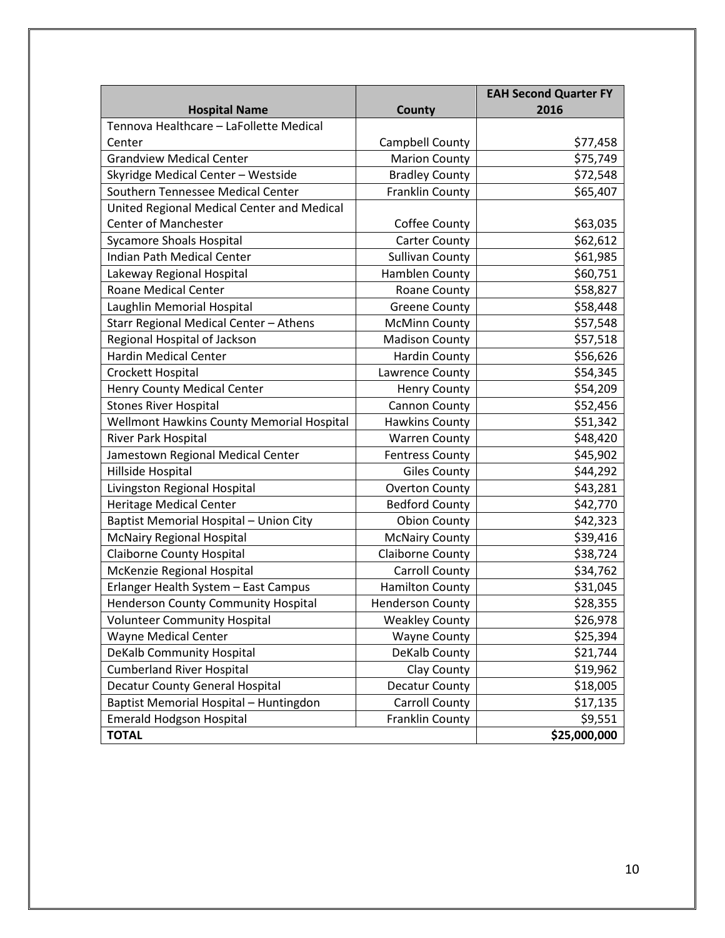|                                            |                         | <b>EAH Second Quarter FY</b> |
|--------------------------------------------|-------------------------|------------------------------|
| <b>Hospital Name</b>                       | County                  | 2016                         |
| Tennova Healthcare - LaFollette Medical    |                         |                              |
| Center                                     | Campbell County         | \$77,458                     |
| <b>Grandview Medical Center</b>            | <b>Marion County</b>    | \$75,749                     |
| Skyridge Medical Center - Westside         | <b>Bradley County</b>   | \$72,548                     |
| Southern Tennessee Medical Center          | Franklin County         | \$65,407                     |
| United Regional Medical Center and Medical |                         |                              |
| <b>Center of Manchester</b>                | Coffee County           | \$63,035                     |
| <b>Sycamore Shoals Hospital</b>            | <b>Carter County</b>    | \$62,612                     |
| <b>Indian Path Medical Center</b>          | <b>Sullivan County</b>  | \$61,985                     |
| Lakeway Regional Hospital                  | Hamblen County          | \$60,751                     |
| <b>Roane Medical Center</b>                | Roane County            | \$58,827                     |
| Laughlin Memorial Hospital                 | <b>Greene County</b>    | \$58,448                     |
| Starr Regional Medical Center - Athens     | <b>McMinn County</b>    | \$57,548                     |
| Regional Hospital of Jackson               | <b>Madison County</b>   | \$57,518                     |
| <b>Hardin Medical Center</b>               | <b>Hardin County</b>    | \$56,626                     |
| Crockett Hospital                          | Lawrence County         | \$54,345                     |
| <b>Henry County Medical Center</b>         | <b>Henry County</b>     | \$54,209                     |
| <b>Stones River Hospital</b>               | Cannon County           | \$52,456                     |
| Wellmont Hawkins County Memorial Hospital  | <b>Hawkins County</b>   | \$51,342                     |
| River Park Hospital                        | <b>Warren County</b>    | \$48,420                     |
| Jamestown Regional Medical Center          | <b>Fentress County</b>  | \$45,902                     |
| Hillside Hospital                          | <b>Giles County</b>     | \$44,292                     |
| Livingston Regional Hospital               | <b>Overton County</b>   | \$43,281                     |
| <b>Heritage Medical Center</b>             | <b>Bedford County</b>   | \$42,770                     |
| Baptist Memorial Hospital - Union City     | <b>Obion County</b>     | \$42,323                     |
| <b>McNairy Regional Hospital</b>           | <b>McNairy County</b>   | \$39,416                     |
| <b>Claiborne County Hospital</b>           | Claiborne County        | \$38,724                     |
| McKenzie Regional Hospital                 | <b>Carroll County</b>   | \$34,762                     |
| Erlanger Health System - East Campus       | <b>Hamilton County</b>  | \$31,045                     |
| <b>Henderson County Community Hospital</b> | <b>Henderson County</b> | \$28,355                     |
| Volunteer Community Hospital               | <b>Weakley County</b>   | \$26,978                     |
| Wayne Medical Center                       | <b>Wayne County</b>     | \$25,394                     |
| DeKalb Community Hospital                  | DeKalb County           | \$21,744                     |
| <b>Cumberland River Hospital</b>           | Clay County             | \$19,962                     |
| <b>Decatur County General Hospital</b>     | Decatur County          | \$18,005                     |
| Baptist Memorial Hospital - Huntingdon     | Carroll County          | \$17,135                     |
| <b>Emerald Hodgson Hospital</b>            | Franklin County         | \$9,551                      |
| <b>TOTAL</b>                               |                         | \$25,000,000                 |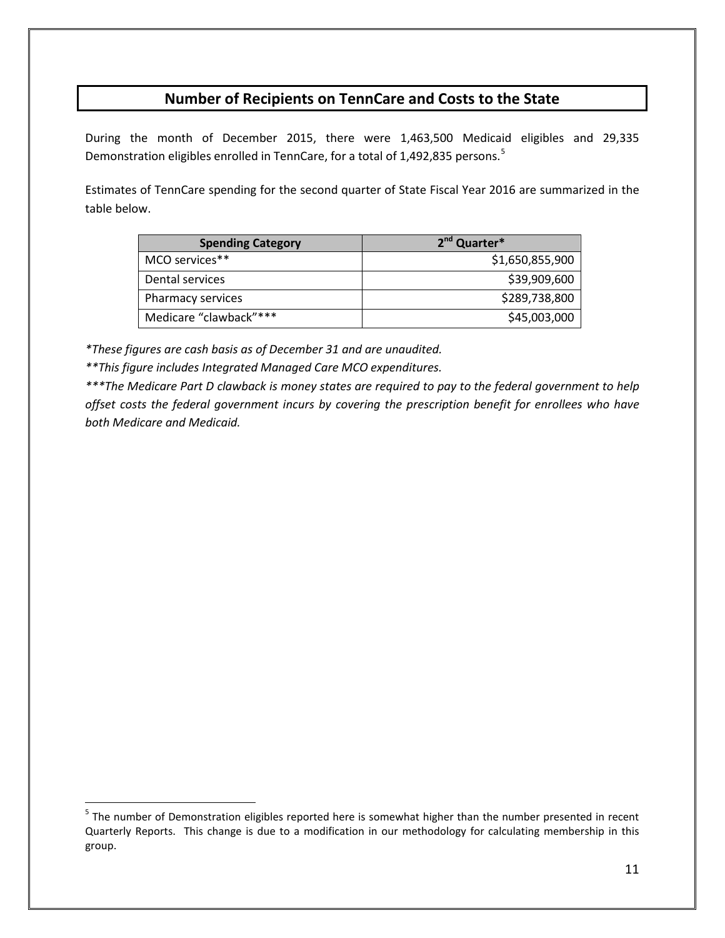## **Number of Recipients on TennCare and Costs to the State**

During the month of December 2015, there were 1,463,500 Medicaid eligibles and 29,335 Demonstration eligibles enrolled in TennCare, for a total of 1,492,83[5](#page-10-0) persons.<sup>5</sup>

Estimates of TennCare spending for the second quarter of State Fiscal Year 2016 are summarized in the table below.

| <b>Spending Category</b> | 2 <sup>nd</sup> Quarter* |
|--------------------------|--------------------------|
| MCO services**           | \$1,650,855,900          |
| Dental services          | \$39,909,600             |
| Pharmacy services        | \$289,738,800            |
| Medicare "clawback"***   | \$45,003,000             |

*\*These figures are cash basis as of December 31 and are unaudited.*

*\*\*This figure includes Integrated Managed Care MCO expenditures.*

 $\overline{a}$ 

*\*\*\*The Medicare Part D clawback is money states are required to pay to the federal government to help offset costs the federal government incurs by covering the prescription benefit for enrollees who have both Medicare and Medicaid.*

<span id="page-10-0"></span><sup>&</sup>lt;sup>5</sup> The number of Demonstration eligibles reported here is somewhat higher than the number presented in recent Quarterly Reports. This change is due to a modification in our methodology for calculating membership in this group.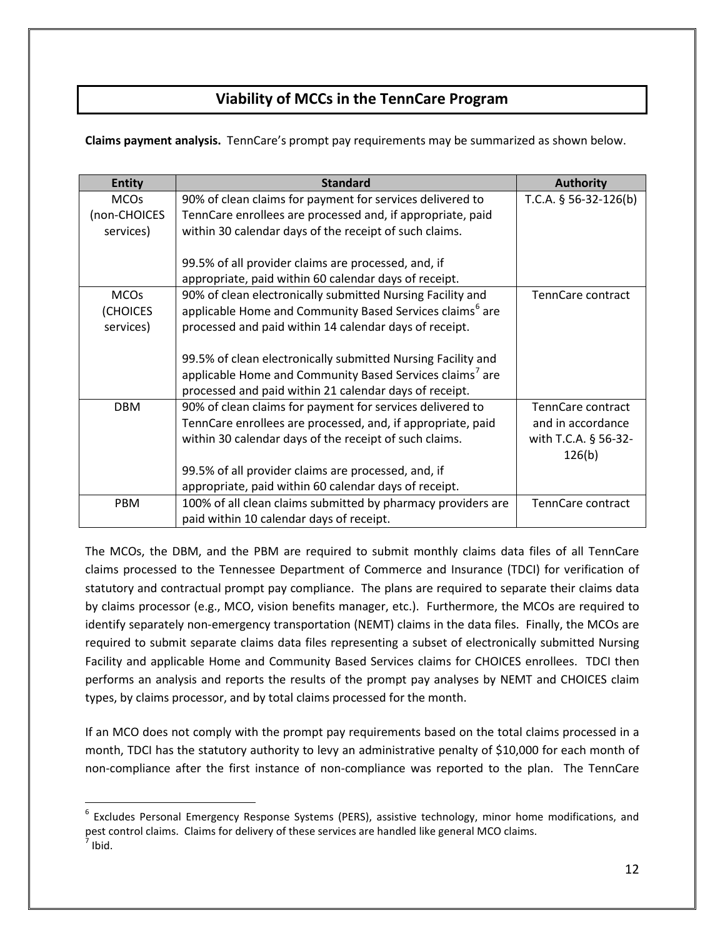## **Viability of MCCs in the TennCare Program**

**Claims payment analysis.** TennCare's prompt pay requirements may be summarized as shown below.

| <b>Entity</b> | <b>Standard</b>                                                      | <b>Authority</b>         |
|---------------|----------------------------------------------------------------------|--------------------------|
| <b>MCOs</b>   | 90% of clean claims for payment for services delivered to            | T.C.A. $§$ 56-32-126(b)  |
| (non-CHOICES  | TennCare enrollees are processed and, if appropriate, paid           |                          |
| services)     | within 30 calendar days of the receipt of such claims.               |                          |
|               |                                                                      |                          |
|               | 99.5% of all provider claims are processed, and, if                  |                          |
|               | appropriate, paid within 60 calendar days of receipt.                |                          |
| <b>MCOs</b>   | 90% of clean electronically submitted Nursing Facility and           | TennCare contract        |
| (CHOICES      | applicable Home and Community Based Services claims <sup>6</sup> are |                          |
| services)     | processed and paid within 14 calendar days of receipt.               |                          |
|               |                                                                      |                          |
|               |                                                                      |                          |
|               | 99.5% of clean electronically submitted Nursing Facility and         |                          |
|               | applicable Home and Community Based Services claims <sup>7</sup> are |                          |
|               | processed and paid within 21 calendar days of receipt.               |                          |
| <b>DBM</b>    | 90% of clean claims for payment for services delivered to            | <b>TennCare contract</b> |
|               | TennCare enrollees are processed, and, if appropriate, paid          | and in accordance        |
|               | within 30 calendar days of the receipt of such claims.               | with T.C.A. § 56-32-     |
|               |                                                                      | 126(b)                   |
|               |                                                                      |                          |
|               | 99.5% of all provider claims are processed, and, if                  |                          |
|               | appropriate, paid within 60 calendar days of receipt.                |                          |
| PBM           | 100% of all clean claims submitted by pharmacy providers are         | TennCare contract        |
|               | paid within 10 calendar days of receipt.                             |                          |

The MCOs, the DBM, and the PBM are required to submit monthly claims data files of all TennCare claims processed to the Tennessee Department of Commerce and Insurance (TDCI) for verification of statutory and contractual prompt pay compliance. The plans are required to separate their claims data by claims processor (e.g., MCO, vision benefits manager, etc.). Furthermore, the MCOs are required to identify separately non-emergency transportation (NEMT) claims in the data files. Finally, the MCOs are required to submit separate claims data files representing a subset of electronically submitted Nursing Facility and applicable Home and Community Based Services claims for CHOICES enrollees. TDCI then performs an analysis and reports the results of the prompt pay analyses by NEMT and CHOICES claim types, by claims processor, and by total claims processed for the month.

If an MCO does not comply with the prompt pay requirements based on the total claims processed in a month, TDCI has the statutory authority to levy an administrative penalty of \$10,000 for each month of non-compliance after the first instance of non-compliance was reported to the plan. The TennCare

<span id="page-11-1"></span><span id="page-11-0"></span><sup>&</sup>lt;sup>6</sup> Excludes Personal Emergency Response Systems (PERS), assistive technology, minor home modifications, and pest control claims. Claims for delivery of these services are handled like general MCO claims.  $<sup>7</sup>$  Ibid.</sup>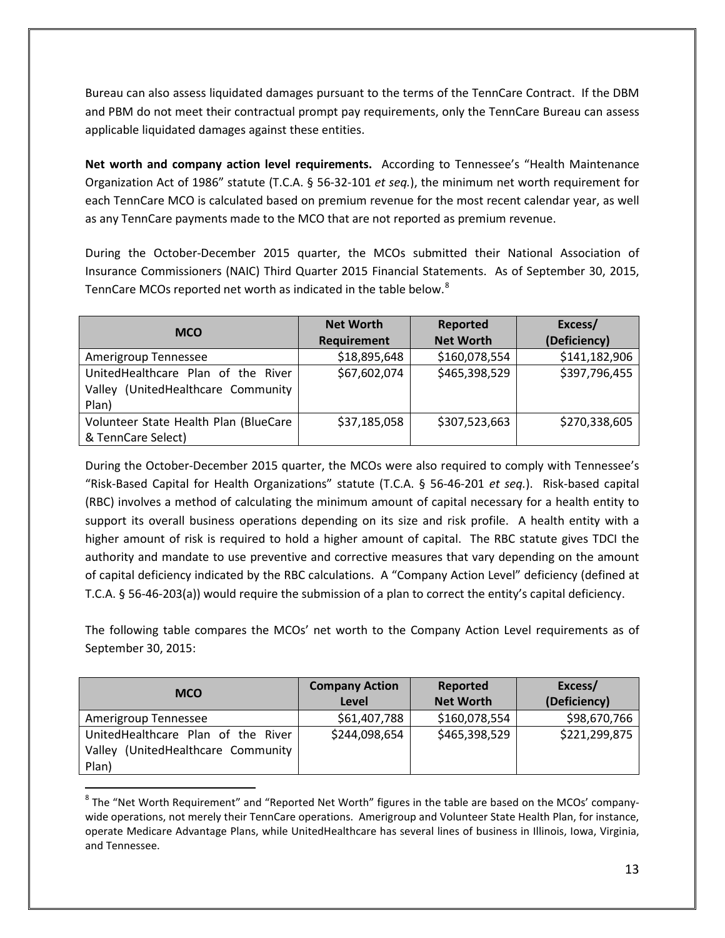Bureau can also assess liquidated damages pursuant to the terms of the TennCare Contract. If the DBM and PBM do not meet their contractual prompt pay requirements, only the TennCare Bureau can assess applicable liquidated damages against these entities.

**Net worth and company action level requirements.** According to Tennessee's "Health Maintenance Organization Act of 1986" statute (T.C.A. § 56-32-101 *et seq.*), the minimum net worth requirement for each TennCare MCO is calculated based on premium revenue for the most recent calendar year, as well as any TennCare payments made to the MCO that are not reported as premium revenue.

During the October-December 2015 quarter, the MCOs submitted their National Association of Insurance Commissioners (NAIC) Third Quarter 2015 Financial Statements. As of September 30, 2015, TennCare MCOs reported net worth as indicated in the table below.<sup>[8](#page-12-0)</sup>

| <b>MCO</b>                            | <b>Net Worth</b>   | Reported         | Excess/       |
|---------------------------------------|--------------------|------------------|---------------|
|                                       | <b>Requirement</b> | <b>Net Worth</b> | (Deficiency)  |
| Amerigroup Tennessee                  | \$18,895,648       | \$160,078,554    | \$141,182,906 |
| UnitedHealthcare Plan of the River    | \$67,602,074       | \$465,398,529    | \$397,796,455 |
| Valley (UnitedHealthcare Community    |                    |                  |               |
| Plan)                                 |                    |                  |               |
| Volunteer State Health Plan (BlueCare | \$37,185,058       | \$307,523,663    | \$270,338,605 |
| & TennCare Select)                    |                    |                  |               |

During the October-December 2015 quarter, the MCOs were also required to comply with Tennessee's "Risk-Based Capital for Health Organizations" statute (T.C.A. § 56-46-201 *et seq.*). Risk-based capital (RBC) involves a method of calculating the minimum amount of capital necessary for a health entity to support its overall business operations depending on its size and risk profile. A health entity with a higher amount of risk is required to hold a higher amount of capital. The RBC statute gives TDCI the authority and mandate to use preventive and corrective measures that vary depending on the amount of capital deficiency indicated by the RBC calculations. A "Company Action Level" deficiency (defined at T.C.A. § 56-46-203(a)) would require the submission of a plan to correct the entity's capital deficiency.

The following table compares the MCOs' net worth to the Company Action Level requirements as of September 30, 2015:

| <b>MCO</b>                         | <b>Company Action</b> | Reported         | Excess/       |
|------------------------------------|-----------------------|------------------|---------------|
|                                    | Level                 | <b>Net Worth</b> | (Deficiency)  |
| Amerigroup Tennessee               | \$61,407,788          | \$160,078,554    | \$98,670,766  |
| UnitedHealthcare Plan of the River | \$244,098,654         | \$465,398,529    | \$221,299,875 |
| Valley (UnitedHealthcare Community |                       |                  |               |
| Plan)                              |                       |                  |               |

<span id="page-12-0"></span><sup>&</sup>lt;sup>8</sup> The "Net Worth Requirement" and "Reported Net Worth" figures in the table are based on the MCOs' companywide operations, not merely their TennCare operations. Amerigroup and Volunteer State Health Plan, for instance, operate Medicare Advantage Plans, while UnitedHealthcare has several lines of business in Illinois, Iowa, Virginia, and Tennessee.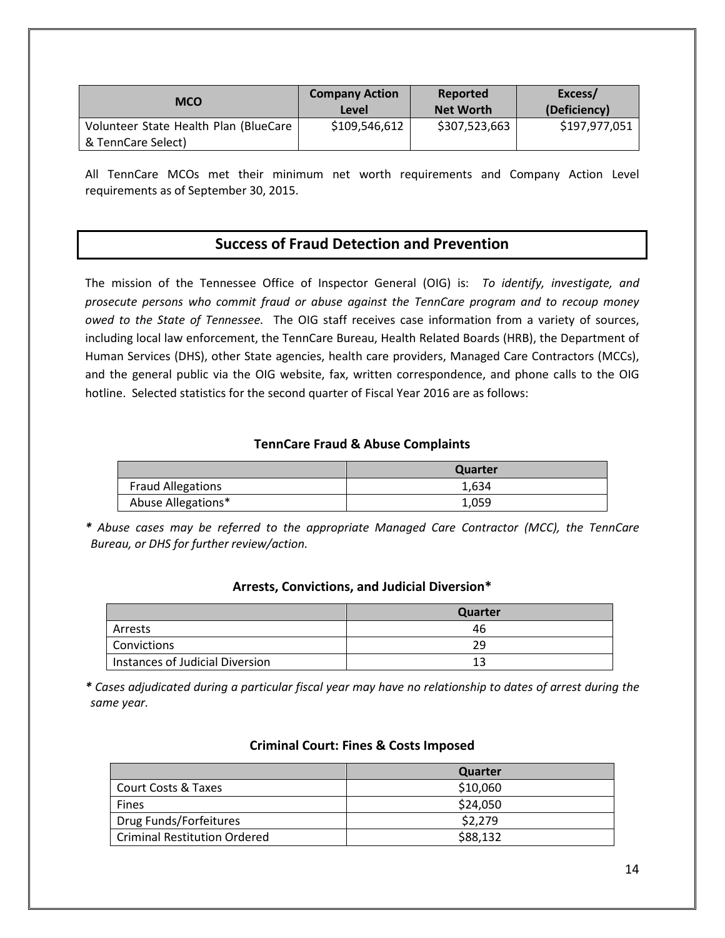| <b>MCO</b>                            | <b>Company Action</b><br>Level | Reported<br><b>Net Worth</b> | Excess/<br>(Deficiency) |
|---------------------------------------|--------------------------------|------------------------------|-------------------------|
| Volunteer State Health Plan (BlueCare | \$109,546,612                  | \$307,523,663                | \$197,977,051           |
| & TennCare Select)                    |                                |                              |                         |

All TennCare MCOs met their minimum net worth requirements and Company Action Level requirements as of September 30, 2015.

### **Success of Fraud Detection and Prevention**

The mission of the Tennessee Office of Inspector General (OIG) is: *To identify, investigate, and prosecute persons who commit fraud or abuse against the TennCare program and to recoup money owed to the State of Tennessee.* The OIG staff receives case information from a variety of sources, including local law enforcement, the TennCare Bureau, Health Related Boards (HRB), the Department of Human Services (DHS), other State agencies, health care providers, Managed Care Contractors (MCCs), and the general public via the OIG website, fax, written correspondence, and phone calls to the OIG hotline. Selected statistics for the second quarter of Fiscal Year 2016 are as follows:

#### **TennCare Fraud & Abuse Complaints**

|                          | Quarter |
|--------------------------|---------|
| <b>Fraud Allegations</b> | 1.634   |
| Abuse Allegations*       | 1,059   |

*\* Abuse cases may be referred to the appropriate Managed Care Contractor (MCC), the TennCare Bureau, or DHS for further review/action.*

|                                 | Quarter |
|---------------------------------|---------|
| Arrests                         | 46      |
| Convictions                     | 29      |
| Instances of Judicial Diversion | -12     |

#### **Arrests, Convictions, and Judicial Diversion\***

*\* Cases adjudicated during a particular fiscal year may have no relationship to dates of arrest during the same year.*

|                                     | Quarter  |
|-------------------------------------|----------|
| Court Costs & Taxes                 | \$10,060 |
| <b>Fines</b>                        | \$24,050 |
| Drug Funds/Forfeitures              | \$2,279  |
| <b>Criminal Restitution Ordered</b> | \$88,132 |

#### **Criminal Court: Fines & Costs Imposed**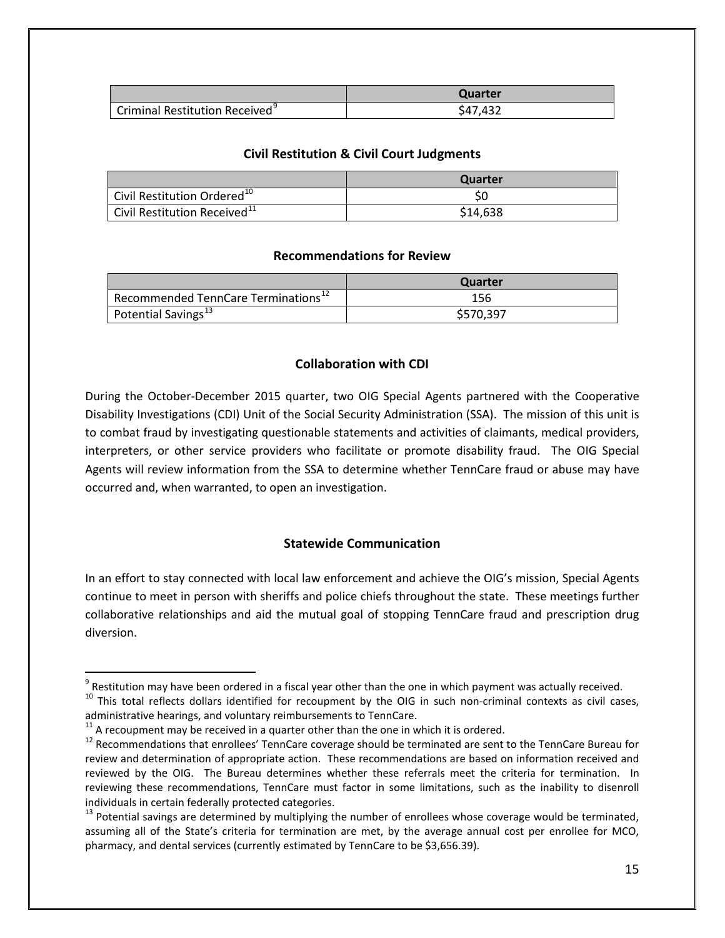|                                            | Quarter  |
|--------------------------------------------|----------|
| Criminal Restitution Received <sup>9</sup> | \$47.432 |

#### **Civil Restitution & Civil Court Judgments**

|                                          | Quarter  |
|------------------------------------------|----------|
| Civil Restitution Ordered <sup>10</sup>  |          |
| Civil Restitution Received <sup>11</sup> | \$14,638 |

#### **Recommendations for Review**

|                                                 | Quarter   |
|-------------------------------------------------|-----------|
| Recommended TennCare Terminations <sup>12</sup> | 156       |
| Potential Savings <sup>13</sup>                 | \$570.397 |

#### **Collaboration with CDI**

During the October-December 2015 quarter, two OIG Special Agents partnered with the Cooperative Disability Investigations (CDI) Unit of the Social Security Administration (SSA). The mission of this unit is to combat fraud by investigating questionable statements and activities of claimants, medical providers, interpreters, or other service providers who facilitate or promote disability fraud. The OIG Special Agents will review information from the SSA to determine whether TennCare fraud or abuse may have occurred and, when warranted, to open an investigation.

#### **Statewide Communication**

In an effort to stay connected with local law enforcement and achieve the OIG's mission, Special Agents continue to meet in person with sheriffs and police chiefs throughout the state. These meetings further collaborative relationships and aid the mutual goal of stopping TennCare fraud and prescription drug diversion.

<span id="page-14-0"></span> $\degree$  Restitution may have been ordered in a fiscal year other than the one in which payment was actually received.<br><sup>10</sup> This total reflects dollars identified for recoupment by the OIG in such non-criminal contexts as civ

<span id="page-14-1"></span>administrative hearings, and voluntary reimbursements to TennCare.<br><sup>11</sup> A recoupment may be received in a quarter other than the one in which it is ordered.<br><sup>12</sup> Recommendations that enrollees' TennCare coverage should be

<span id="page-14-2"></span>

<span id="page-14-3"></span>review and determination of appropriate action. These recommendations are based on information received and reviewed by the OIG. The Bureau determines whether these referrals meet the criteria for termination. In reviewing these recommendations, TennCare must factor in some limitations, such as the inability to disenroll individuals in certain federally protected categories.

<span id="page-14-4"></span> $13$  Potential savings are determined by multiplying the number of enrollees whose coverage would be terminated, assuming all of the State's criteria for termination are met, by the average annual cost per enrollee for MCO, pharmacy, and dental services (currently estimated by TennCare to be \$3,656.39).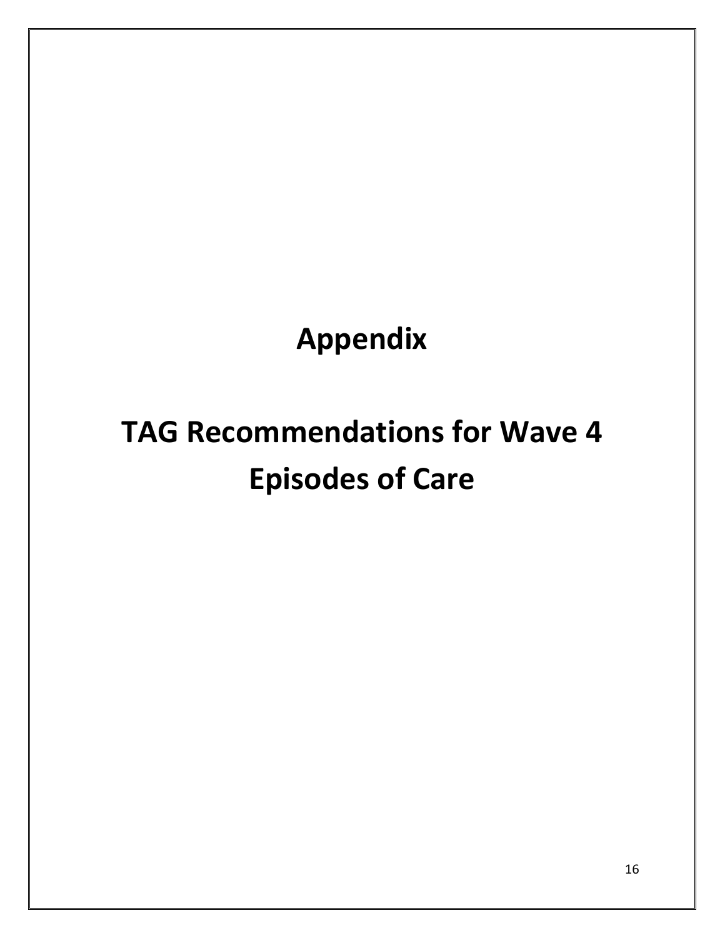**Appendix**

# **TAG Recommendations for Wave 4 Episodes of Care**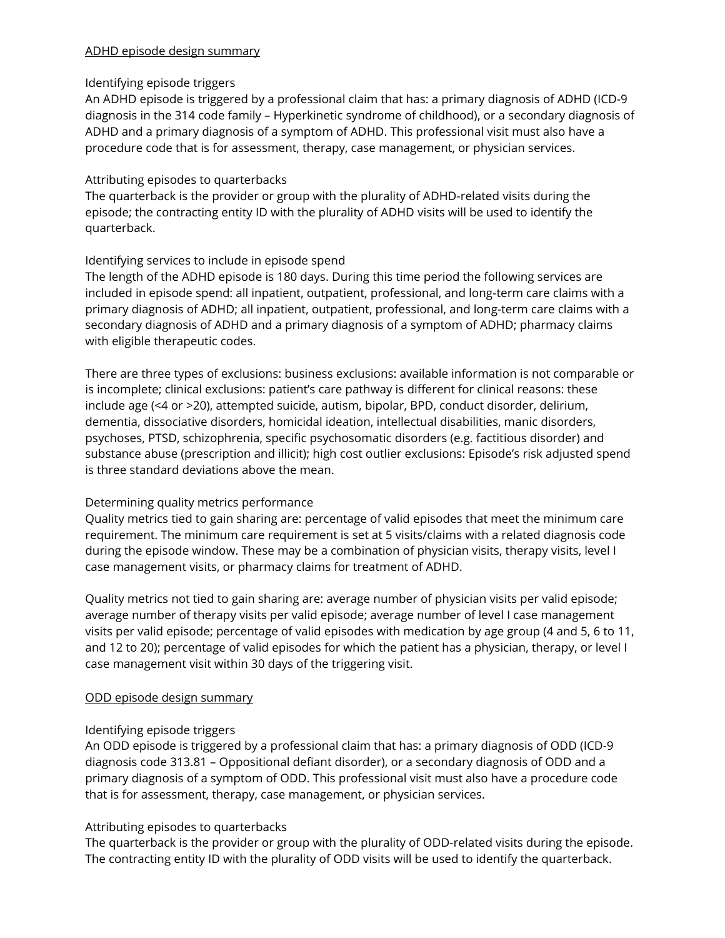#### ADHD episode design summary

#### Identifying episode triggers

An ADHD episode is triggered by a professional claim that has: a primary diagnosis of ADHD (ICD-9 diagnosis in the 314 code family – Hyperkinetic syndrome of childhood), or a secondary diagnosis of ADHD and a primary diagnosis of a symptom of ADHD. This professional visit must also have a procedure code that is for assessment, therapy, case management, or physician services.

#### Attributing episodes to quarterbacks

The quarterback is the provider or group with the plurality of ADHD-related visits during the episode; the contracting entity ID with the plurality of ADHD visits will be used to identify the quarterback.

#### Identifying services to include in episode spend

The length of the ADHD episode is 180 days. During this time period the following services are included in episode spend: all inpatient, outpatient, professional, and long-term care claims with a primary diagnosis of ADHD; all inpatient, outpatient, professional, and long-term care claims with a secondary diagnosis of ADHD and a primary diagnosis of a symptom of ADHD; pharmacy claims with eligible therapeutic codes.

There are three types of exclusions: business exclusions: available information is not comparable or is incomplete; clinical exclusions: patient's care pathway is different for clinical reasons: these include age (<4 or >20), attempted suicide, autism, bipolar, BPD, conduct disorder, delirium, dementia, dissociative disorders, homicidal ideation, intellectual disabilities, manic disorders, psychoses, PTSD, schizophrenia, specific psychosomatic disorders (e.g. factitious disorder) and substance abuse (prescription and illicit); high cost outlier exclusions: Episode's risk adjusted spend is three standard deviations above the mean.

#### Determining quality metrics performance

Quality metrics tied to gain sharing are: percentage of valid episodes that meet the minimum care requirement. The minimum care requirement is set at 5 visits/claims with a related diagnosis code during the episode window. These may be a combination of physician visits, therapy visits, level I case management visits, or pharmacy claims for treatment of ADHD.

Quality metrics not tied to gain sharing are: average number of physician visits per valid episode; average number of therapy visits per valid episode; average number of level I case management visits per valid episode; percentage of valid episodes with medication by age group (4 and 5, 6 to 11, and 12 to 20); percentage of valid episodes for which the patient has a physician, therapy, or level I case management visit within 30 days of the triggering visit.

#### ODD episode design summary

#### Identifying episode triggers

An ODD episode is triggered by a professional claim that has: a primary diagnosis of ODD (ICD-9 diagnosis code 313.81 – Oppositional defiant disorder), or a secondary diagnosis of ODD and a primary diagnosis of a symptom of ODD. This professional visit must also have a procedure code that is for assessment, therapy, case management, or physician services.

#### Attributing episodes to quarterbacks

The quarterback is the provider or group with the plurality of ODD-related visits during the episode. The contracting entity ID with the plurality of ODD visits will be used to identify the quarterback.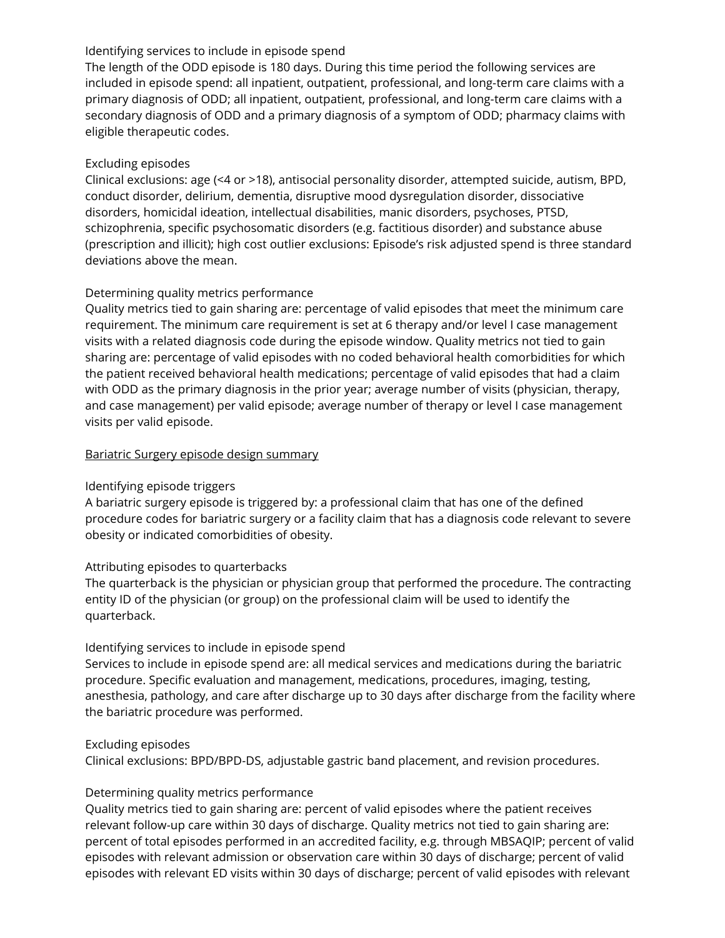#### Identifying services to include in episode spend

The length of the ODD episode is 180 days. During this time period the following services are included in episode spend: all inpatient, outpatient, professional, and long-term care claims with a primary diagnosis of ODD; all inpatient, outpatient, professional, and long-term care claims with a secondary diagnosis of ODD and a primary diagnosis of a symptom of ODD; pharmacy claims with eligible therapeutic codes.

#### Excluding episodes

Clinical exclusions: age (<4 or >18), antisocial personality disorder, attempted suicide, autism, BPD, conduct disorder, delirium, dementia, disruptive mood dysregulation disorder, dissociative disorders, homicidal ideation, intellectual disabilities, manic disorders, psychoses, PTSD, schizophrenia, specific psychosomatic disorders (e.g. factitious disorder) and substance abuse (prescription and illicit); high cost outlier exclusions: Episode's risk adjusted spend is three standard deviations above the mean.

#### Determining quality metrics performance

Quality metrics tied to gain sharing are: percentage of valid episodes that meet the minimum care requirement. The minimum care requirement is set at 6 therapy and/or level I case management visits with a related diagnosis code during the episode window. Quality metrics not tied to gain sharing are: percentage of valid episodes with no coded behavioral health comorbidities for which the patient received behavioral health medications; percentage of valid episodes that had a claim with ODD as the primary diagnosis in the prior year; average number of visits (physician, therapy, and case management) per valid episode; average number of therapy or level I case management visits per valid episode.

#### Bariatric Surgery episode design summary

#### Identifying episode triggers

A bariatric surgery episode is triggered by: a professional claim that has one of the defined procedure codes for bariatric surgery or a facility claim that has a diagnosis code relevant to severe obesity or indicated comorbidities of obesity.

#### Attributing episodes to quarterbacks

The quarterback is the physician or physician group that performed the procedure. The contracting entity ID of the physician (or group) on the professional claim will be used to identify the quarterback.

#### Identifying services to include in episode spend

Services to include in episode spend are: all medical services and medications during the bariatric procedure. Specific evaluation and management, medications, procedures, imaging, testing, anesthesia, pathology, and care after discharge up to 30 days after discharge from the facility where the bariatric procedure was performed.

#### Excluding episodes

Clinical exclusions: BPD/BPD-DS, adjustable gastric band placement, and revision procedures.

#### Determining quality metrics performance

Quality metrics tied to gain sharing are: percent of valid episodes where the patient receives relevant follow-up care within 30 days of discharge. Quality metrics not tied to gain sharing are: percent of total episodes performed in an accredited facility, e.g. through MBSAQIP; percent of valid episodes with relevant admission or observation care within 30 days of discharge; percent of valid episodes with relevant ED visits within 30 days of discharge; percent of valid episodes with relevant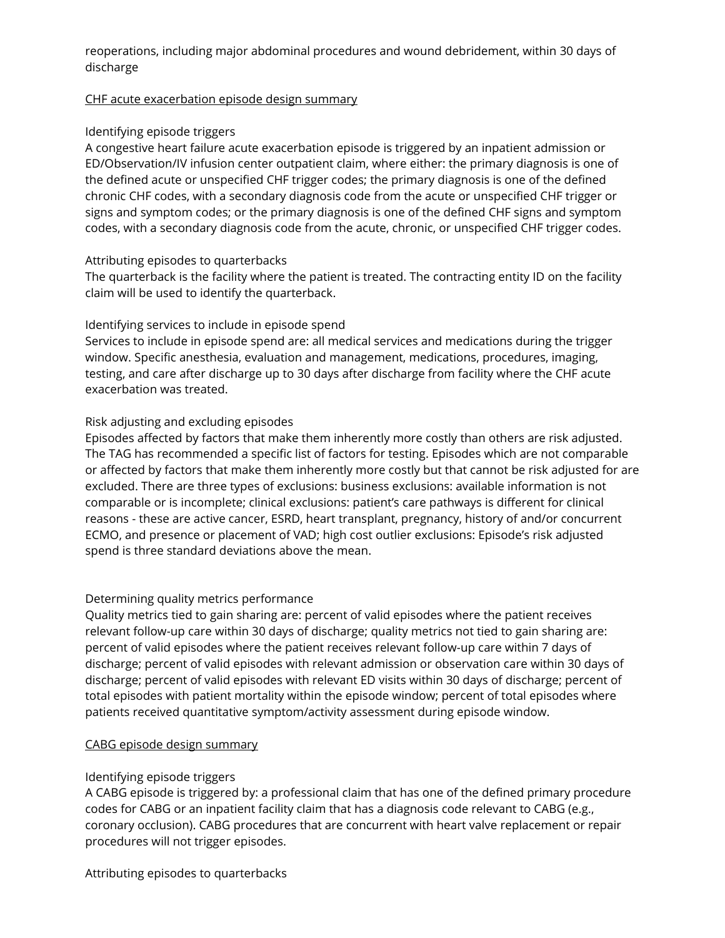reoperations, including major abdominal procedures and wound debridement, within 30 days of discharge

#### CHF acute exacerbation episode design summary

#### Identifying episode triggers

A congestive heart failure acute exacerbation episode is triggered by an inpatient admission or ED/Observation/IV infusion center outpatient claim, where either: the primary diagnosis is one of the defined acute or unspecified CHF trigger codes; the primary diagnosis is one of the defined chronic CHF codes, with a secondary diagnosis code from the acute or unspecified CHF trigger or signs and symptom codes; or the primary diagnosis is one of the defined CHF signs and symptom codes, with a secondary diagnosis code from the acute, chronic, or unspecified CHF trigger codes.

#### Attributing episodes to quarterbacks

The quarterback is the facility where the patient is treated. The contracting entity ID on the facility claim will be used to identify the quarterback.

#### Identifying services to include in episode spend

Services to include in episode spend are: all medical services and medications during the trigger window. Specific anesthesia, evaluation and management, medications, procedures, imaging, testing, and care after discharge up to 30 days after discharge from facility where the CHF acute exacerbation was treated.

#### Risk adjusting and excluding episodes

Episodes affected by factors that make them inherently more costly than others are risk adjusted. The TAG has recommended a specific list of factors for testing. Episodes which are not comparable or affected by factors that make them inherently more costly but that cannot be risk adjusted for are excluded. There are three types of exclusions: business exclusions: available information is not comparable or is incomplete; clinical exclusions: patient's care pathways is different for clinical reasons - these are active cancer, ESRD, heart transplant, pregnancy, history of and/or concurrent ECMO, and presence or placement of VAD; high cost outlier exclusions: Episode's risk adjusted spend is three standard deviations above the mean.

#### Determining quality metrics performance

Quality metrics tied to gain sharing are: percent of valid episodes where the patient receives relevant follow-up care within 30 days of discharge; quality metrics not tied to gain sharing are: percent of valid episodes where the patient receives relevant follow-up care within 7 days of discharge; percent of valid episodes with relevant admission or observation care within 30 days of discharge; percent of valid episodes with relevant ED visits within 30 days of discharge; percent of total episodes with patient mortality within the episode window; percent of total episodes where patients received quantitative symptom/activity assessment during episode window.

#### CABG episode design summary

#### Identifying episode triggers

A CABG episode is triggered by: a professional claim that has one of the defined primary procedure codes for CABG or an inpatient facility claim that has a diagnosis code relevant to CABG (e.g., coronary occlusion). CABG procedures that are concurrent with heart valve replacement or repair procedures will not trigger episodes.

Attributing episodes to quarterbacks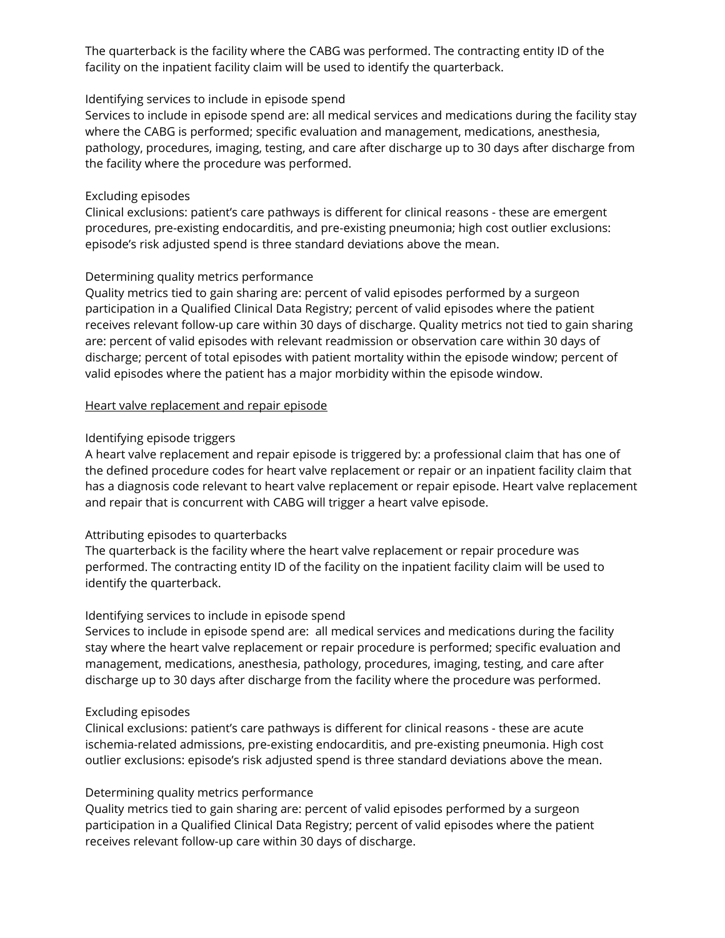The quarterback is the facility where the CABG was performed. The contracting entity ID of the facility on the inpatient facility claim will be used to identify the quarterback.

#### Identifying services to include in episode spend

Services to include in episode spend are: all medical services and medications during the facility stay where the CABG is performed; specific evaluation and management, medications, anesthesia, pathology, procedures, imaging, testing, and care after discharge up to 30 days after discharge from the facility where the procedure was performed.

#### Excluding episodes

Clinical exclusions: patient's care pathways is different for clinical reasons - these are emergent procedures, pre-existing endocarditis, and pre-existing pneumonia; high cost outlier exclusions: episode's risk adjusted spend is three standard deviations above the mean.

#### Determining quality metrics performance

Quality metrics tied to gain sharing are: percent of valid episodes performed by a surgeon participation in a Qualified Clinical Data Registry; percent of valid episodes where the patient receives relevant follow-up care within 30 days of discharge. Quality metrics not tied to gain sharing are: percent of valid episodes with relevant readmission or observation care within 30 days of discharge; percent of total episodes with patient mortality within the episode window; percent of valid episodes where the patient has a major morbidity within the episode window.

#### Heart valve replacement and repair episode

#### Identifying episode triggers

A heart valve replacement and repair episode is triggered by: a professional claim that has one of the defined procedure codes for heart valve replacement or repair or an inpatient facility claim that has a diagnosis code relevant to heart valve replacement or repair episode. Heart valve replacement and repair that is concurrent with CABG will trigger a heart valve episode.

#### Attributing episodes to quarterbacks

The quarterback is the facility where the heart valve replacement or repair procedure was performed. The contracting entity ID of the facility on the inpatient facility claim will be used to identify the quarterback.

#### Identifying services to include in episode spend

Services to include in episode spend are: all medical services and medications during the facility stay where the heart valve replacement or repair procedure is performed; specific evaluation and management, medications, anesthesia, pathology, procedures, imaging, testing, and care after discharge up to 30 days after discharge from the facility where the procedure was performed.

#### Excluding episodes

Clinical exclusions: patient's care pathways is different for clinical reasons - these are acute ischemia-related admissions, pre-existing endocarditis, and pre-existing pneumonia. High cost outlier exclusions: episode's risk adjusted spend is three standard deviations above the mean.

#### Determining quality metrics performance

Quality metrics tied to gain sharing are: percent of valid episodes performed by a surgeon participation in a Qualified Clinical Data Registry; percent of valid episodes where the patient receives relevant follow-up care within 30 days of discharge.